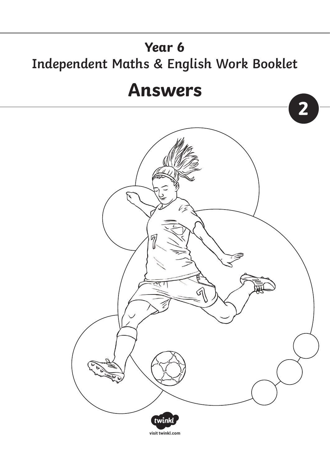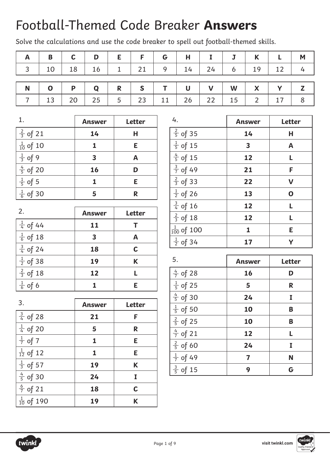# Football-Themed Code Breaker **Answers**

Solve the calculations and use the code breaker to spell out football-themed skills.

| $A$   B   C   D   E   F   G   H   I   J   K   L   M                                             |  |  |  |  |  |  |
|-------------------------------------------------------------------------------------------------|--|--|--|--|--|--|
| $3 \mid 10 \mid 18 \mid 16 \mid 1 \mid 21 \mid 9 \mid 14 \mid 24 \mid 6 \mid 19 \mid 12 \mid 4$ |  |  |  |  |  |  |
|                                                                                                 |  |  |  |  |  |  |
| $N$   0   P   Q   R   S   T   U   V   W   X   Y   Z                                             |  |  |  |  |  |  |
|                                                                                                 |  |  |  |  |  |  |

| 1.                   | <b>Answer</b> | <b>Letter</b> |
|----------------------|---------------|---------------|
| $\frac{2}{3}$ of 21  | 14            | н             |
| $\frac{1}{10}$ of 10 |               | Ε             |
| $\frac{1}{3}$ of 9   | 3             | A             |
| $\frac{4}{5}$ of 20  | 16            | D             |
| $\frac{1}{5}$ of 5   |               | E             |
| $\frac{1}{6}$ of 30  | г,            | R             |

| 2.                  | <b>Answer</b> | <b>Letter</b> |
|---------------------|---------------|---------------|
| $\frac{1}{4}$ of 44 | 11            |               |
| $\frac{1}{6}$ of 18 | 3             | Α             |
| $\frac{3}{4}$ of 24 | 18            | $\mathbf C$   |
| $\frac{1}{2}$ of 38 | 19            | K             |
| $\frac{2}{3}$ of 18 | 12            |               |
| $\frac{1}{6}$ of 6  |               | F             |

3. **Answer Letter**

 $\frac{3}{4}$  of 28 **21 F** 

 $\frac{1}{4}$  of 20 **5 R** 

 $\frac{1}{7}$  of 7 **1 E** 

 $\frac{1}{12}$  of 12 **1 E** 

 $\frac{1}{3}$  of 57 **19 K** 

 $\frac{4}{5}$  of 30 **24 I** 

 $\frac{6}{7}$  of 21 **18 C** 

 $\frac{1}{10}$  of 190 **19 K** 

| 4.                     | <b>Answer</b>           | <b>Letter</b> |
|------------------------|-------------------------|---------------|
| $\frac{2}{5}$ of 35    | 14                      | Н             |
| $\frac{1}{5}$ of 15    | $\overline{\mathbf{3}}$ | A             |
| $\frac{4}{5}$ of 15    | 12                      | L             |
| $\frac{3}{7}$ of 49    | 21                      | F             |
| $\frac{2}{3}$ of 33    | 22                      | $\mathsf{V}$  |
| $\frac{1}{2}$ of 26    | 13                      | $\mathbf 0$   |
| $\frac{3}{4}$ of 16    | 12                      | L             |
| $\frac{2}{3}$ of 18    | 12                      | L             |
| $\frac{1}{100}$ of 100 | $\mathbf{1}$            | E             |
| $\frac{1}{2}$ of 34    | 17                      | Υ             |

| 5.                  | <b>Answer</b> | <b>Letter</b> |
|---------------------|---------------|---------------|
| $\frac{4}{7}$ of 28 | 16            | D             |
| $\frac{1}{5}$ of 25 | 5             | R             |
| $\frac{4}{5}$ of 30 | 24            | I             |
| $\frac{1}{5}$ of 50 | 10            | B             |
| $\frac{2}{5}$ of 25 | 10            | B             |
| $\frac{4}{7}$ of 21 | 12            | L             |
| $\frac{2}{5}$ of 60 | 24            | I             |
| $\frac{1}{7}$ of 49 | 7             | N             |
| $\frac{3}{5}$ of 15 | 9             | G             |



4

7

12

4

3

5

7

10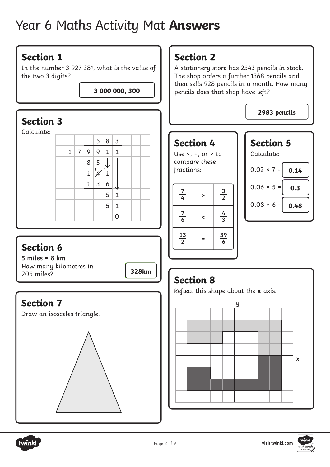# Year 6 Maths Activity Mat **Answers**

### **Section 1**

In the number 3 927 381, what is the value of the two 3 digits?

**3 000 000, 300**

### **Section 3**

Calculate:



## **Section 6**

**5 miles = 8 km** How many kilometres in 205 miles?

## **Section 7**

Draw an isosceles triangle.



## **Section 2**

A stationery store has 2543 pencils in stock. The shop orders a further 1368 pencils and then sells 928 pencils in a month. How many pencils does that shop have left?

**2983 pencils**

### **Section 4**

Use  $\leq$ ,  $\equiv$ , or  $>$  to compare these









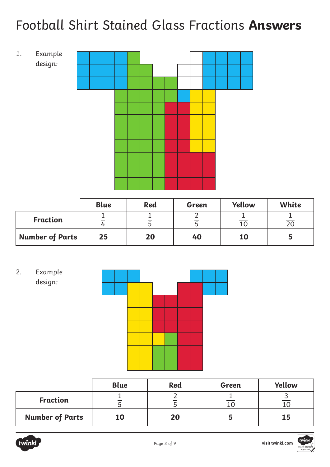# Football Shirt Stained Glass Fractions **Answers**



|                        | <b>Blue</b> | <b>Red</b> | Green | Yellow    | White |
|------------------------|-------------|------------|-------|-----------|-------|
| <b>Fraction</b>        |             |            |       |           | 20    |
| <b>Number of Parts</b> | 25          | 20         | 40    | <b>10</b> |       |





|                        | <b>Blue</b> | <b>Red</b> | Green | Yellow |
|------------------------|-------------|------------|-------|--------|
| <b>Fraction</b>        |             |            |       |        |
| <b>Number of Parts</b> | 10          | 20         |       | 15     |

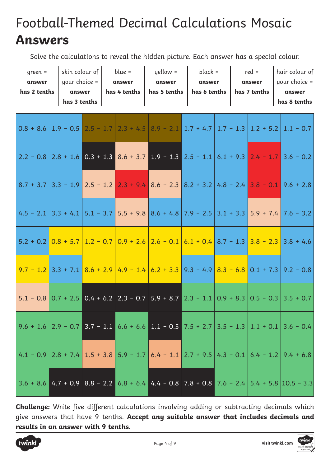# Football-Themed Decimal Calculations Mosaic **Answers**

Solve the calculations to reveal the hidden picture. Each answer has a special colour.

| $green =$<br>answer<br>has 2 tenths | answer | $\vert$ skin colour of $\vert$ blue =<br>your choice $=$   answer<br>has 3 tenths $ $ | has 4 tenths | yellow =<br>answer<br>$\mid$ has 5 tenths $\mid$ has 6 tenths $\mid$ has 7 tenths | black =<br>answer |  | $red =$<br>answer | hair colour of<br>$your choice =$<br>answer<br>has 8 tenths                                                                                                     |
|-------------------------------------|--------|---------------------------------------------------------------------------------------|--------------|-----------------------------------------------------------------------------------|-------------------|--|-------------------|-----------------------------------------------------------------------------------------------------------------------------------------------------------------|
|                                     |        |                                                                                       |              |                                                                                   |                   |  |                   | $0.8 + 8.6$   1.9 - 0.5   2.5 - 1.7   2.3 + 4.5   8.9 - 2.1   1.7 + 4.7   1.7 - 1.3   1.2 + 5.2   1.1 - 0.7                                                     |
|                                     |        |                                                                                       |              |                                                                                   |                   |  |                   | $2.2 - 0.8$ $2.8 + 1.6$ $0.3 + 1.3$ $8.6 + 3.7$ $1.9 - 1.3$ $2.5 - 1.1$ $6.1 + 9.3$ $2.4 - 1.7$ $3.6 - 0.2$                                                     |
|                                     |        |                                                                                       |              |                                                                                   |                   |  |                   | $8.7 + 3.7$ 3.3 - 1.9 2.5 - 1.2 2.3 + 9.4 8.6 - 2.3 8.2 + 3.2 4.8 - 2.4 3.8 - 0.1 9.6 + 2.8                                                                     |
|                                     |        |                                                                                       |              |                                                                                   |                   |  |                   | $4.5 - 2.1$ 3.3 + 4.1 5.1 - 3.7 5.5 + 9.8 8.6 + 4.8 7.9 - 2.5 3.1 + 3.3 5.9 + 7.4 7.6 - 3.2                                                                     |
|                                     |        |                                                                                       |              |                                                                                   |                   |  |                   | $5.2 + 0.2$ $0.8 + 5.7$ $1.2 - 0.7$ $0.9 + 2.6$ $2.6 - 0.1$ $6.1 + 0.4$ $8.7 - 1.3$ $3.8 - 2.3$ 3.8 + 4.6                                                       |
|                                     |        |                                                                                       |              |                                                                                   |                   |  |                   | $9.7 - 1.2$ 3.3 + 7.1 $8.6 + 2.9$ 4.9 - 1.4 $6.2 + 3.3$ 9.3 - 4.9 $8.3 - 6.8$ 0.1 + 7.3 9.2 - 0.8                                                               |
|                                     |        |                                                                                       |              |                                                                                   |                   |  |                   |                                                                                                                                                                 |
|                                     |        |                                                                                       |              |                                                                                   |                   |  |                   | $\left  9.6 + 1.6 \right  2.9 - 0.7$ 3.7 - 1.1 6.6 + 6.6 1.1 - 0.5 7.5 + 2.7 3.5 - 1.3 1.1 + 0.1 3.6 - 0.4                                                      |
|                                     |        |                                                                                       |              |                                                                                   |                   |  |                   | $\mid$ 4.1 - 0.9 $\mid$ 2.8 + 7.4 $\mid$ 1.5 + 3.8 $\mid$ 5.9 - 1.7 $\mid$ 6.4 - 1.1 $\mid$ 2.7 + 9.5 $\mid$ 4.3 - 0.1 $\mid$ 6.4 - 1.2 $\mid$ 9.4 + 6.8 $\mid$ |
|                                     |        |                                                                                       |              |                                                                                   |                   |  |                   | $3.6 + 8.6$ 4.7 + 0.9 8.8 - 2.2 6.8 + 6.4 4.4 - 0.8 7.8 + 0.8 7.6 - 2.4 5.4 + 5.8 10.5 - 3.3                                                                    |

**Challenge:** Write five different calculations involving adding or subtracting decimals which give answers that have 9 tenths. **Accept any suitable answer that includes decimals and [results in an answer with 9 tenths.](https://www.twinkl.co.uk/resources/covid19-school-closures/school-reopening-coronavirus-school-closure-help-key-stage-1-year-1-year-2/7-11-school-reopening-coronavirus-school-closure-help-key-stage-1)**

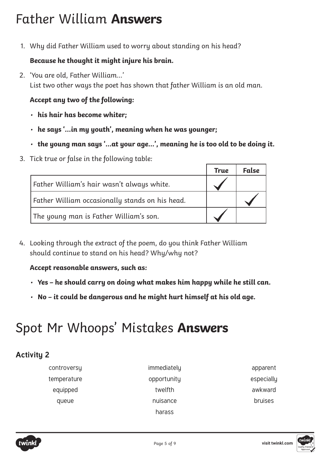# Father William **Answers**

1. Why did Father William used to worry about standing on his head?

#### **Because he thought it might injure his brain.**

2. 'You are old, Father William…' List two other ways the poet has shown that father William is an old man.

#### **Accept any two of the following:**

- **his hair has become whiter;**
- **he says '…in my youth', meaning when he was younger;**
- **the young man says '…at your age…', meaning he is too old to be doing it.**
- 3. Tick true or false in the following table:

|                                                 | <b>True</b> | <b>False</b> |
|-------------------------------------------------|-------------|--------------|
| Father William's hair wasn't always white.      |             |              |
| Father William occasionally stands on his head. |             |              |
| The young man is Father William's son.          |             |              |

4. Looking through the extract of the poem, do you think Father William should continue to stand on his head? Why/why not?

#### **Accept reasonable answers, such as:**

- **Yes he should carry on doing what makes him happy while he still can.**
- **No it could be dangerous and he might hurt himself at his old age.**

# Spot Mr Whoops' Mistakes **Answers**

### **Activity 2**

controversy immediately apparent temperature opportunity opportunity especially

equipped twelfth awkward queue nuisance bruises harass



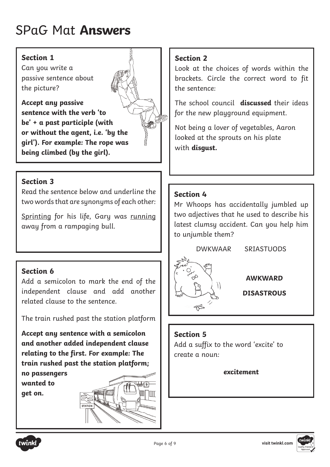# SPaG Mat **Answers**

#### **Section 1**

Can you write a passive sentence about the picture?

**Accept any passive sentence with the verb 'to be' + a past participle (with or without the agent, i.e. 'by the girl'). For example: The rope was being climbed (by the girl).**



#### **Section 3**

Read the sentence below and underline the two words that are synonyms of each other:

Sprinting for his life, Gary was running away from a rampaging bull.

### **Section 6**

Add a semicolon to mark the end of the independent clause and add another related clause to the sentence.

The train rushed past the station platform

**Accept any sentence with a semicolon and another added independent clause relating to the first. For example: The train rushed past the station platform;** 

**no passengers wanted to get on.**



#### **Section 2**

Look at the choices of words within the brackets. Circle the correct word to fit the sentence:

The school council **discussed** their ideas for the new playground equipment.

Not being a lover of vegetables, Aaron looked at the sprouts on his plate with **disgust.**

### **Section 4**

Mr Whoops has accidentally jumbled up two adjectives that he used to describe his latest clumsy accident. Can you help him to unjumble them?

DWKWAAR SRIASTUODS



**AWKWARD**

**DISASTROUS**

#### **Section 5**

Add a suffix to the word 'excite' to create a noun:

**excitement**



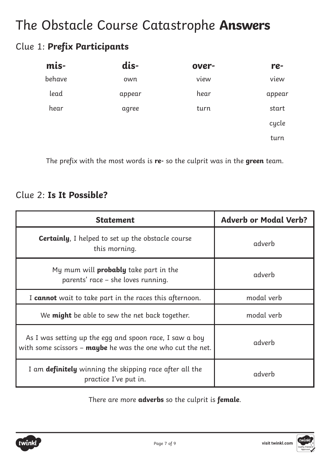## The Obstacle Course Catastrophe **Answers**

### Clue 1: **Prefix Participants**

| mis-   | dis-   | over- | re-    |
|--------|--------|-------|--------|
| behave | own    | view  | view   |
| lead   | appear | hear  | appear |
| hear   | agree  | turn  | start  |
|        |        |       | cycle  |
|        |        |       | turn   |

The prefix with the most words is **re-** so the culprit was in the **green** team.

### Clue 2: **Is It Possible?**

| <b>Statement</b>                                                                                                      | <b>Adverb or Modal Verb?</b> |
|-----------------------------------------------------------------------------------------------------------------------|------------------------------|
| <b>Certainly, I</b> helped to set up the obstacle course<br>this morning.                                             | adverb                       |
| My mum will <b>probably</b> take part in the<br>parents' race – she loves running.                                    | adverb                       |
| I cannot wait to take part in the races this afternoon.                                                               | modal verb                   |
| We <b>might</b> be able to sew the net back together.                                                                 | modal verb                   |
| As I was setting up the egg and spoon race, I saw a boy<br>with some scissors - maybe he was the one who cut the net. | adverb                       |
| I am definitely winning the skipping race after all the<br>practice I've put in.                                      | adverb                       |

There are more **adverbs** so the culprit is **female**.

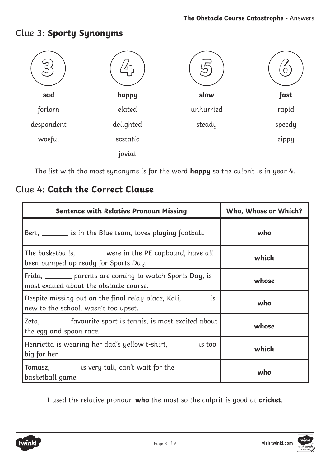#### **3 4 5 6 sad** forlorn despondent woeful **happy** elated delighted ecstatic jovial **slow** unhurried steady **fast** rapid speedy zippy

Clue 3: **Sporty Synonyms**

The list with the most synonyms is for the word **happy** so the culprit is in year **4**.

### Clue 4: **Catch the Correct Clause**

| <b>Sentence with Relative Pronoun Missing</b>                                                               | Who, Whose or Which? |
|-------------------------------------------------------------------------------------------------------------|----------------------|
| Bert, _________ is in the Blue team, loves playing football.                                                | who                  |
| The basketballs, _______ were in the PE cupboard, have all<br>been pumped up ready for Sports Day.          | which                |
| Frida, _______ parents are coming to watch Sports Day, is<br>most excited about the obstacle course.        | whose                |
| Despite missing out on the final relay place, Kali, ____________ is<br>new to the school, wasn't too upset. | who                  |
| Zeta, _________ favourite sport is tennis, is most excited about<br>the egg and spoon race.                 | whose                |
| Henrietta is wearing her dad's yellow t-shirt, ________ is too<br>big for her.                              | which                |
| Tomasz, _________ is very tall, can't wait for the<br>basketball game.                                      | who                  |

I used the relative pronoun **who** the most so the culprit is good at **cricket**.